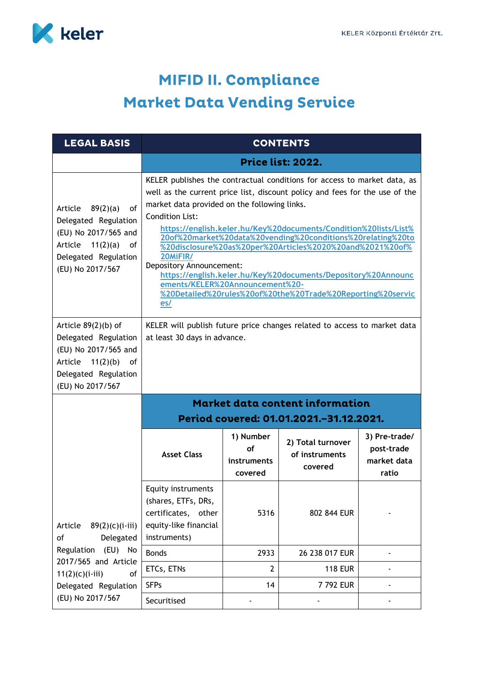

## MIFID II. Compliance **Market Data Vending Service**

| <b>LEGAL BASIS</b>                                                                                                                                                   | <b>CONTENTS</b>                                                                                                                                                                                                                                                                                                                                                                                                                                                                                                                                                                                                                                     |                                                  |                                                |                                                     |  |
|----------------------------------------------------------------------------------------------------------------------------------------------------------------------|-----------------------------------------------------------------------------------------------------------------------------------------------------------------------------------------------------------------------------------------------------------------------------------------------------------------------------------------------------------------------------------------------------------------------------------------------------------------------------------------------------------------------------------------------------------------------------------------------------------------------------------------------------|--------------------------------------------------|------------------------------------------------|-----------------------------------------------------|--|
|                                                                                                                                                                      | <b>Price list: 2022.</b>                                                                                                                                                                                                                                                                                                                                                                                                                                                                                                                                                                                                                            |                                                  |                                                |                                                     |  |
| of<br>Article<br>89(2)(a)<br>Delegated Regulation<br>(EU) No 2017/565 and<br>Article $11(2)(a)$<br>0f<br>Delegated Regulation<br>(EU) No 2017/567                    | KELER publishes the contractual conditions for access to market data, as<br>well as the current price list, discount policy and fees for the use of the<br>market data provided on the following links.<br><b>Condition List:</b><br>https://english.keler.hu/Key%20documents/Condition%20lists/List%<br>20of%20market%20data%20vending%20conditions%20relating%20to<br>%20disclosure%20as%20per%20Articles%2020%20and%2021%20of%<br>20MiFIR/<br>Depository Announcement:<br>https://english.keler.hu/Key%20documents/Depository%20Announc<br>ements/KELER%20Announcement%20-<br>%20Detailed%20rules%20of%20the%20Trade%20Reporting%20servic<br>es/ |                                                  |                                                |                                                     |  |
| Article $89(2)(b)$ of<br>Delegated Regulation<br>(EU) No 2017/565 and<br>Article $11(2)(b)$ of<br>Delegated Regulation<br>(EU) No 2017/567                           | KELER will publish future price changes related to access to market data<br>at least 30 days in advance.                                                                                                                                                                                                                                                                                                                                                                                                                                                                                                                                            |                                                  |                                                |                                                     |  |
| $89(2)(c)(i-iii)$<br>Article<br>of<br>Delegated<br>Regulation (EU) No<br>2017/565 and Article<br>of<br>$11(2)(c)(i-iii)$<br>Delegated Regulation<br>(EU) No 2017/567 | <b>Market data content information</b><br>Period covered: 01.01.2021.-31.12.2021.                                                                                                                                                                                                                                                                                                                                                                                                                                                                                                                                                                   |                                                  |                                                |                                                     |  |
|                                                                                                                                                                      | <b>Asset Class</b>                                                                                                                                                                                                                                                                                                                                                                                                                                                                                                                                                                                                                                  | 1) Number<br>of<br><i>instruments</i><br>covered | 2) Total turnover<br>of instruments<br>covered | 3) Pre-trade/<br>post-trade<br>market data<br>ratio |  |
|                                                                                                                                                                      | <b>Equity instruments</b><br>(shares, ETFs, DRs,<br>certificates,<br>other<br>equity-like financial<br>instruments)                                                                                                                                                                                                                                                                                                                                                                                                                                                                                                                                 | 5316                                             | 802 844 EUR                                    |                                                     |  |
|                                                                                                                                                                      | <b>Bonds</b>                                                                                                                                                                                                                                                                                                                                                                                                                                                                                                                                                                                                                                        | 2933                                             | 26 238 017 EUR                                 |                                                     |  |
|                                                                                                                                                                      | ETCs, ETNs                                                                                                                                                                                                                                                                                                                                                                                                                                                                                                                                                                                                                                          | $\overline{2}$                                   | <b>118 EUR</b>                                 |                                                     |  |
|                                                                                                                                                                      | <b>SFPs</b>                                                                                                                                                                                                                                                                                                                                                                                                                                                                                                                                                                                                                                         | 14                                               | 7 792 EUR                                      |                                                     |  |
|                                                                                                                                                                      | Securitised                                                                                                                                                                                                                                                                                                                                                                                                                                                                                                                                                                                                                                         |                                                  |                                                |                                                     |  |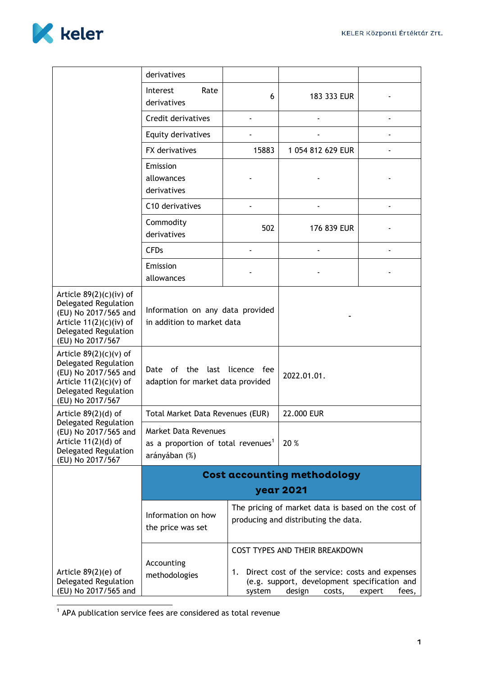

|                                                                                                                                                         | derivatives                                                                                                                                                                                                            |                                                    |                   |  |  |
|---------------------------------------------------------------------------------------------------------------------------------------------------------|------------------------------------------------------------------------------------------------------------------------------------------------------------------------------------------------------------------------|----------------------------------------------------|-------------------|--|--|
|                                                                                                                                                         | Interest<br>Rate<br>derivatives                                                                                                                                                                                        | 6                                                  | 183 333 EUR       |  |  |
|                                                                                                                                                         | Credit derivatives                                                                                                                                                                                                     |                                                    |                   |  |  |
|                                                                                                                                                         | Equity derivatives                                                                                                                                                                                                     |                                                    |                   |  |  |
|                                                                                                                                                         | <b>FX</b> derivatives                                                                                                                                                                                                  | 15883                                              | 1 054 812 629 EUR |  |  |
|                                                                                                                                                         | Emission<br>allowances<br>derivatives                                                                                                                                                                                  |                                                    |                   |  |  |
|                                                                                                                                                         | C <sub>10</sub> derivatives                                                                                                                                                                                            |                                                    |                   |  |  |
|                                                                                                                                                         | Commodity<br>derivatives                                                                                                                                                                                               | 502                                                | 176 839 EUR       |  |  |
|                                                                                                                                                         | <b>CFDs</b>                                                                                                                                                                                                            |                                                    |                   |  |  |
|                                                                                                                                                         | Emission<br>allowances                                                                                                                                                                                                 |                                                    |                   |  |  |
| Article $89(2)(c)(iv)$ of<br>Delegated Regulation<br>(EU) No 2017/565 and<br>Article $11(2)(c)(iv)$ of<br>Delegated Regulation<br>(EU) No 2017/567      | Information on any data provided<br>in addition to market data                                                                                                                                                         |                                                    |                   |  |  |
| Article $89(2)(c)(v)$ of<br>Delegated Regulation<br>(EU) No 2017/565 and<br>Article $11(2)(c)(v)$ of<br><b>Delegated Regulation</b><br>(EU) No 2017/567 | of the<br>last<br>licence fee<br>Date<br>adaption for market data provided                                                                                                                                             |                                                    | 2022.01.01.       |  |  |
| Article $89(2)(d)$ of<br>Delegated Regulation<br>(EU) No 2017/565 and<br>Article $11(2)(d)$ of<br>Delegated Regulation<br>(EU) No 2017/567              | Total Market Data Revenues (EUR)                                                                                                                                                                                       |                                                    | 22.000 EUR        |  |  |
|                                                                                                                                                         | <b>Market Data Revenues</b><br>as a proportion of total revenues <sup>1</sup><br>arányában (%)                                                                                                                         |                                                    | 20 %              |  |  |
|                                                                                                                                                         | Cost accounting methodology                                                                                                                                                                                            |                                                    |                   |  |  |
|                                                                                                                                                         | year 2021                                                                                                                                                                                                              |                                                    |                   |  |  |
|                                                                                                                                                         | Information on how<br>the price was set                                                                                                                                                                                | The pricing of market data is based on the cost of |                   |  |  |
|                                                                                                                                                         |                                                                                                                                                                                                                        | producing and distributing the data.               |                   |  |  |
| Article $89(2)$ (e) of<br>Delegated Regulation<br>(EU) No 2017/565 and                                                                                  | COST TYPES AND THEIR BREAKDOWN<br>Accounting<br>Direct cost of the service: costs and expenses<br>1.<br>methodologies<br>(e.g. support, development specification and<br>design<br>system<br>fees,<br>costs,<br>expert |                                                    |                   |  |  |

1 APA publication service fees are considered as total revenue